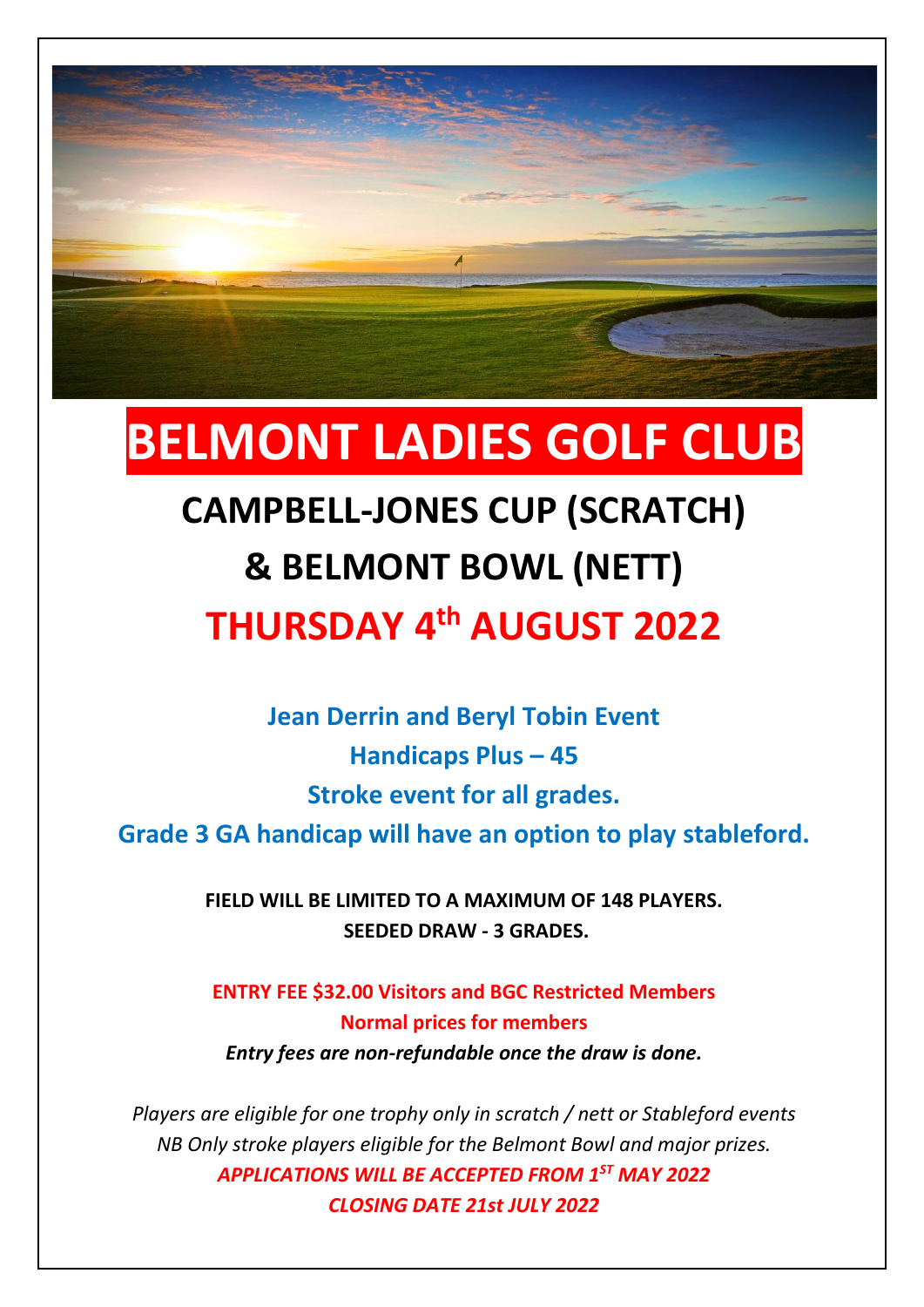

# **BELMONT LADIES GOLF CLUB**

### **CAMPBELL-JONES CUP (SCRATCH)**

### **& BELMONT BOWL (NETT)**

## **THURSDAY 4 th AUGUST 2022**

**Jean Derrin and Beryl Tobin Event Handicaps Plus – 45 Stroke event for all grades.** 

**Grade 3 GA handicap will have an option to play stableford.**

**FIELD WILL BE LIMITED TO A MAXIMUM OF 148 PLAYERS. SEEDED DRAW - 3 GRADES.** 

**ENTRY FEE \$32.00 Visitors and BGC Restricted Members Normal prices for members** *Entry fees are non-refundable once the draw is done.*

*Players are eligible for one trophy only in scratch / nett or Stableford events NB Only stroke players eligible for the Belmont Bowl and major prizes. APPLICATIONS WILL BE ACCEPTED FROM 1ST MAY 2022 CLOSING DATE 21st JULY 2022*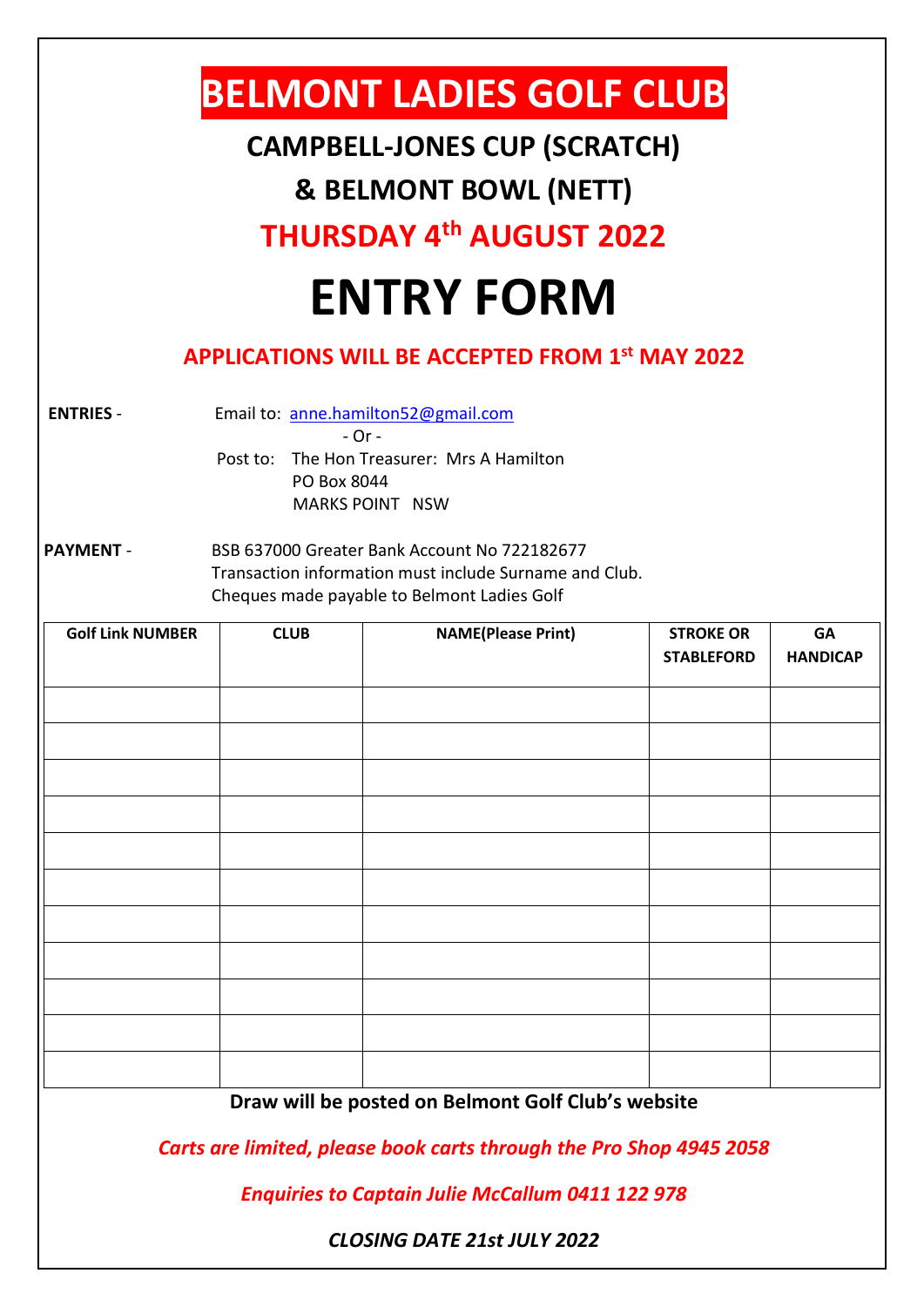| <b>BELMONT LADIES GOLF CLUB</b><br><b>CAMPBELL-JONES CUP (SCRATCH)</b><br><b>&amp; BELMONT BOWL (NETT)</b><br><b>THURSDAY 4th AUGUST 2022</b><br><b>ENTRY FORM</b>                                                              |             |                           |                                       |                              |
|---------------------------------------------------------------------------------------------------------------------------------------------------------------------------------------------------------------------------------|-------------|---------------------------|---------------------------------------|------------------------------|
| <b>APPLICATIONS WILL BE ACCEPTED FROM 1st MAY 2022</b>                                                                                                                                                                          |             |                           |                                       |                              |
| Email to: anne.hamilton52@gmail.com<br><b>ENTRIES -</b><br>- Or -<br>The Hon Treasurer: Mrs A Hamilton<br>Post to:<br>PO Box 8044<br><b>MARKS POINT NSW</b><br>BSB 637000 Greater Bank Account No 722182677<br><b>PAYMENT -</b> |             |                           |                                       |                              |
| Transaction information must include Surname and Club.<br>Cheques made payable to Belmont Ladies Golf                                                                                                                           |             |                           |                                       |                              |
| <b>Golf Link NUMBER</b>                                                                                                                                                                                                         | <b>CLUB</b> | <b>NAME(Please Print)</b> | <b>STROKE OR</b><br><b>STABLEFORD</b> | <b>GA</b><br><b>HANDICAP</b> |
|                                                                                                                                                                                                                                 |             |                           |                                       |                              |
| Draw will be posted on Belmont Golf Club's website                                                                                                                                                                              |             |                           |                                       |                              |
| Carts are limited, please book carts through the Pro Shop 4945 2058                                                                                                                                                             |             |                           |                                       |                              |
| <b>Enquiries to Captain Julie McCallum 0411 122 978</b>                                                                                                                                                                         |             |                           |                                       |                              |
| <b>CLOSING DATE 21st JULY 2022</b>                                                                                                                                                                                              |             |                           |                                       |                              |